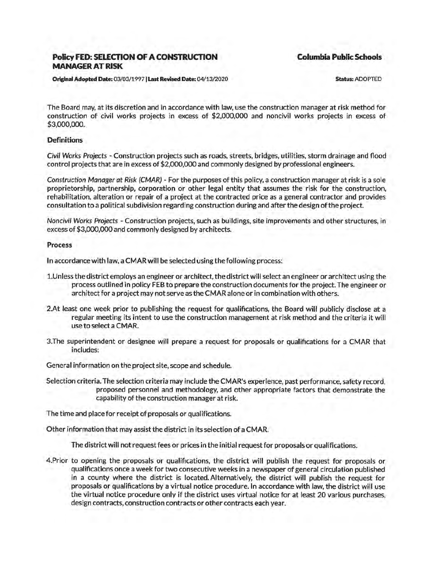## **Policy FED: SELECTION OF A CONSTRUCTION MANAGER AT RISK**

**Columbia Public Schools** 

Original Adopted Date: 03/03/1997 I Last Revised Date: 04/13/2020

Status: ADOPTED

The Board may, at its discretion and in accordance with law, use the construction manager at risk method for construction of civil works projects in excess of \$2,000,000 and noncivil works projects in excess of \$3,000,000.

## **Definitions**

Civil Works Projects - Construction projects such as roads, streets, bridges, utilities, storm drainage and flood control projects that are in excess of \$2,000,000 and commonly designed by professional engineers.

Construction Manager at Risk (CMAR) - For the purposes of this policy, a construction manager at risk is a sole proprietorship, partnership, corporation or other legal entity that assumes the risk for the construction, rehabilitation, alteration or repair of a project at the contracted price as a general contractor and provides consultation to a political subdivision regarding construction during and after the design of the project.

Noncivil Works Projects - Construction projects, such as buildings, site improvements and other structures, in excess of \$3,000,000 and commonly designed by architects.

## Process

In accordance with law, a CMAR will be selected using the following process:

- 1.Unless the district employs an engineer or architect, the district will select an engineer or architect using the process outlined in policy FEB to prepare the construction documents for the project. The engineer or architect for a project may not serve as the CMAR alone or in combination with others.
- 2.At least one week prior to publishing the request for qualifications, the Board will publicly disclose at a regular meeting its intent to use the construction management at risk method and the criteria it will use to select a CMAR.
- 3.The superintendent or designee will prepare a request for proposals or qualifications for a CMAR that includes:

General information on the project site, scope and schedule.

Selection criteria. The selection criteria may include the CMAR's experience, past performance, safety record, proposed personnel and methodology, and other appropriate factors that demonstrate the capability of the construction manager at risk.

The time and place for receipt of proposals or qualifications.

Other information that may assist the district in its selection of a CMAR.

The district will not request fees or prices in the initial request for proposals or qualifications.

4.Prior to opening the proposals or qualifications, the district will publish the request for proposals or qualifications once a week for two consecutive weeks in a newspaper of general circulation published in a county where the district is located. Alternatively, the district will publish the request for proposals or qualifications by a virtual notice procedure. In accordance with law, the district will use the virtual notice procedure only if the district uses virtual notice for at least 20 various purchases, design contracts, construction contracts or other contracts each year.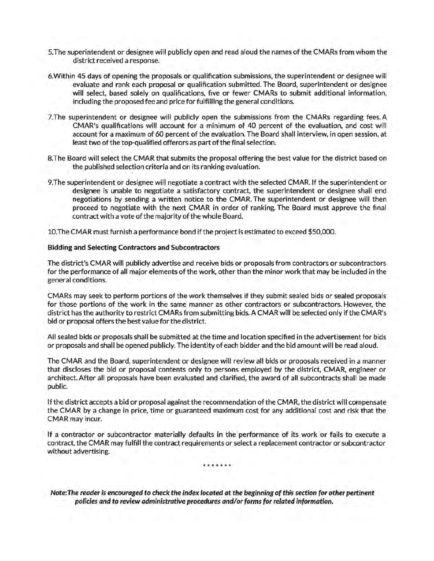- 5.The superintendent or designee will publicly open and read aloud the names of the CMARs from whom the district received a response.
- 6.Within 45 days of opening the proposals or qualification submissions, the superintendent or designee will evaluate and rank each proposal or qualification submitted. The Board, superintendent or designee will select, based solely on qualifications, five or fewer CMARs to submit additional information, including the proposed fee and price for fulfilling the general conditions.
- 7.The superintendent or designee will publicly open the submissions from the CMARs regarding fees.A CMAR's qualifications will account for a minimum of 40 percent of the evaluation, and cost will account for a maximum of 60 percent of the evaluation. The Board shall interview, in open session, at least two of the top-qualified offerors as part of the final selection.
- 8.The Board will select the CMAR that submits the proposal offering the best value for the district based on the published selection criteria and on its ranking evaluation.
- 9.The superintendent or designee will negotiate a contract with the selected CMAR. If the superintendent or designee is unable to negotiate a satisfactory contract, the superintendent or designee shall end negotiations by sending a written notice to the CMAR. The superintendent or designee will then proceed to negotiate with the next CMAR in order of ranking. The Board must approve the final contract with a vote of the majority of the whole Board.

10.The CMAR must furnish a performance bond if the project is estimated to exceed \$50,000.

## Bidding and Selecting Contractors and Subcontractors

The district's CMAR will publicly advertise and receive bids or proposals from contractors or subcontractors for the performance of all major elements of the work, other than the minor work that may be included in the general conditions.

CMARs may seek to perform portions of the work themselves if they submit sealed bids or sealed proposals for those portions of the work in the same manner as other contractors or subcontractors. However, the district has the authority to restrict CMARs from submitting bids.A CMAR will be selected only ifthe CMAR's bid or proposal offers the best value for the district.

All sealed bids or proposals shall be submitted at the time and location specified in the advertisement for bids or proposals and shall be opened publicly. The identity of each bidder and the bid amount will be read aloud.

The CMAR and the Board, superintendent or designee will review all bids or proposals received in a manner that discloses the bid or proposal contents only to persons employed by the district, CMAR, engineer or architect. After all proposals have been evaluated and clarified, the award of all subcontracts shall be made public.

If the district accepts a bid or proposal against the recommendation of the CMAR, the district will compensate the CMAR by a change in price, time or guaranteed maximum cost for any additional cost and risk that the CMAR may incur.

If a contractor or subcontractor materially defaults in the performance of its work or fails to execute a contract, the CMAR may fulfill the contract requirements or select a replacement contractor or subcontractor without advertising.

\*\*\*\*\*\*\*

Note: The reader is encouraged to check the index located at the beginning of this section for other pertinent policies and to review administrative procedures and/or forms for related information.